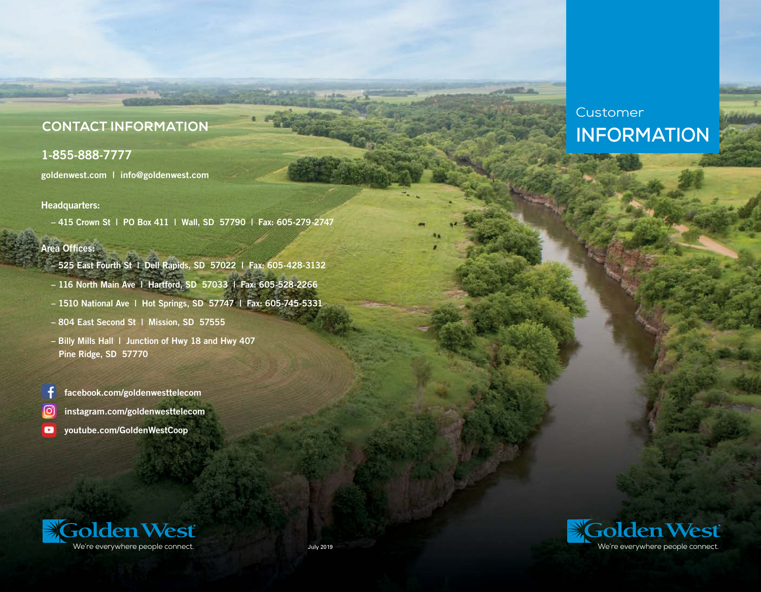# **CONTACT INFORMATION**

## 1-855-888-7777

goldenwest.com | info@goldenwest.com

### Headquarters:

– 415 Crown St | PO Box 411 | Wall, SD 57790 | Fax: 605-279-2747

### Area Offices:

- 525 East Fourth St | Dell Rapids, SD 57022 | Fax: 605-428-3132
- 116 North Main Ave | Hartford, SD 57033 | Fax: 605-528-2266
- 1510 National Ave | Hot Springs, SD 57747 | Fax: 605-745-5331
- 804 East Second St | Mission, SD 57555
- Billy Mills Hall | Junction of Hwy 18 and Hwy 407 Pine Ridge, SD 57770

facebook.com/goldenwesttelecom

- [O] instagram.com/goldenwesttelecom
- $\bullet$ youtube.com/GoldenWestCoop



Customer

**INFORMATION**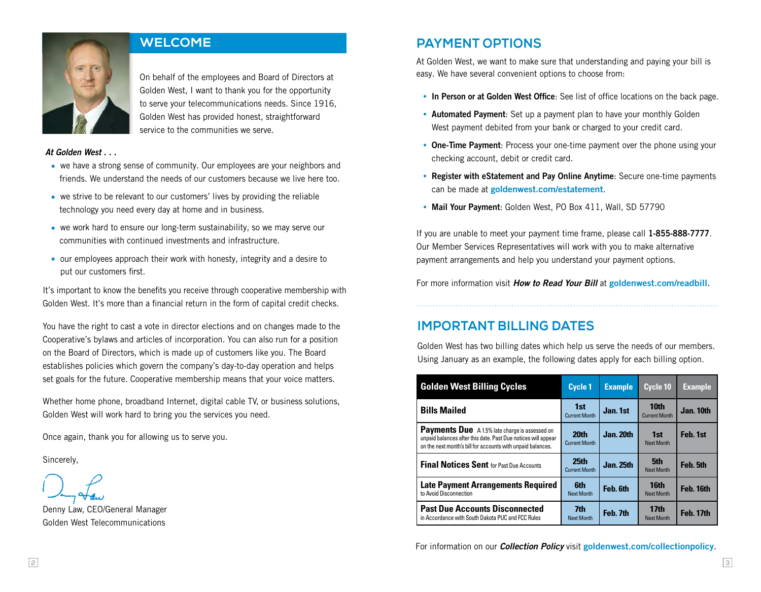

## **WELCOME**

On behalf of the employees and Board of Directors at Golden West, I want to thank you for the opportunity to serve your telecommunications needs. Since 1916, Golden West has provided honest, straightforward service to the communities we serve.

#### *At Golden West . . .*

- we have a strong sense of community. Our employees are your neighbors and friends. We understand the needs of our customers because we live here too.
- we strive to be relevant to our customers' lives by providing the reliable technology you need every day at home and in business.
- we work hard to ensure our long-term sustainability, so we may serve our communities with continued investments and infrastructure.
- our employees approach their work with honesty, integrity and a desire to put our customers first.

It's important to know the benefits you receive through cooperative membership with Golden West. It's more than a financial return in the form of capital credit checks.

You have the right to cast a vote in director elections and on changes made to the Cooperative's bylaws and articles of incorporation. You can also run for a position on the Board of Directors, which is made up of customers like you. The Board establishes policies which govern the company's day-to-day operation and helps set goals for the future. Cooperative membership means that your voice matters.

Whether home phone, broadband Internet, digital cable TV, or business solutions, Golden West will work hard to bring you the services you need.

Once again, thank you for allowing us to serve you.

Sincerely,

Denny Law, CEO/General Manager Golden West Telecommunications

# **PAYMENT OPTIONS**

At Golden West, we want to make sure that understanding and paying your bill is easy. We have several convenient options to choose from:

- In Person or at Golden West Office: See list of office locations on the back page.
- Automated Payment: Set up a payment plan to have your monthly Golden West payment debited from your bank or charged to your credit card.
- One-Time Payment: Process your one-time payment over the phone using your checking account, debit or credit card.
- Register with eStatement and Pay Online Anytime: Secure one-time payments can be made at goldenwest.com/estatement.
- Mail Your Payment: Golden West, PO Box 411, Wall, SD 57790

If you are unable to meet your payment time frame, please call 1-855-888-7777. Our Member Services Representatives will work with you to make alternative payment arrangements and help you understand your payment options.

For more information visit **How to Read Your Bill** at goldenwest.com/readbill.

## **IMPORTANT BILLING DATES**

Golden West has two billing dates which help us serve the needs of our members. Using January as an example, the following dates apply for each billing option.

| <b>Golden West Billing Cycles</b>                                                                                                                                                     | <b>Cycle 1</b>                           | <b>Example</b>   | Cycle 10                              | <b>Example</b>   |
|---------------------------------------------------------------------------------------------------------------------------------------------------------------------------------------|------------------------------------------|------------------|---------------------------------------|------------------|
| <b>Bills Mailed</b>                                                                                                                                                                   | 1st<br><b>Current Month</b>              | Jan. 1st         | 10th<br><b>Current Month</b>          | Jan. 10th        |
| <b>Payments Due</b> A 1.5% late charge is assessed on<br>unpaid balances after this date. Past Due notices will appear<br>on the next month's bill for accounts with unpaid balances. | <b>20th</b><br><b>Current Month</b>      | <b>Jan. 20th</b> | 1st<br><b>Next Month</b>              | Feb. 1st         |
| <b>Final Notices Sent</b> for Past Due Accounts                                                                                                                                       | 25 <sub>th</sub><br><b>Current Month</b> | Jan. 25th        | 5th<br><b>Next Month</b>              | Feb. 5th         |
| <b>Late Payment Arrangements Required</b><br>to Avoid Disconnection                                                                                                                   | <b>6th</b><br><b>Next Month</b>          | Feb. 6th         | 16th<br><b>Next Month</b>             | Feb. 16th        |
| <b>Past Due Accounts Disconnected</b><br>in Accordance with South Dakota PUC and FCC Rules                                                                                            | 7th<br><b>Next Month</b>                 | Feb. 7th         | 17 <sub>th</sub><br><b>Next Month</b> | <b>Feb. 17th</b> |

For information on our *Collection Policy* visit goldenwest.com/collectionpolicy.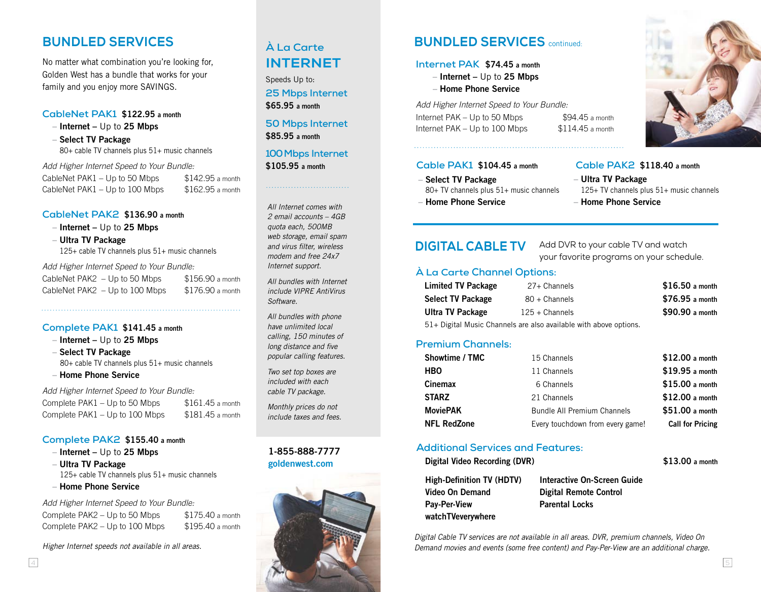# **BUNDLED SERVICES**

No matter what combination you're looking for, Golden West has a bundle that works for your family and you enjoy more SAVINGS.

### **CableNet PAK1** \$122.95 a month

– Internet – Up to 25 Mbps

– Select TV Package 80+ cable TV channels plus 51+ music channels

*Add Higher Internet Speed to Your Bundle:*

CableNet PAK1 – Up to 50 Mbps  $$142.95$  a month CableNet PAK1 – Up to 100 Mbps  $$162.95$  a month

#### **CableNet PAK2** \$136.90 a month

– Internet – Up to 25 Mbps

– Ultra TV Package

125+ cable TV channels plus 51+ music channels

*Add Higher Internet Speed to Your Bundle:*

| CableNet $PAK2 - Up$ to 50 Mbps  | $$156.90$ a month |
|----------------------------------|-------------------|
| CableNet $PAK2 - Up$ to 100 Mbps | $$176.90$ a month |

#### **Complete PAK1** \$141.45 a month

– Internet – Up to 25 Mbps

– Select TV Package 80+ cable TV channels plus 51+ music channels

#### – Home Phone Service

*Add Higher Internet Speed to Your Bundle:*

| Complete PAK1 – Up to 50 Mbps  | $$161.45$ a month |
|--------------------------------|-------------------|
| Complete PAK1 – Up to 100 Mbps | $$181.45$ a month |

#### **Complete PAK2** \$155.40 a month

 $-$  Internet  $-$  Up to 25 Mbps

– Ultra TV Package 125+ cable TV channels plus 51+ music channels

– Home Phone Service

*Add Higher Internet Speed to Your Bundle:* Complete PAK2 – Up to 50 Mbps  $$175.40$  a month Complete PAK2 – Up to 100 Mbps \$195.40 a month

*Higher Internet speeds not available in all areas.*

# **À La Carte INTERNET**

Speeds Up to: **25 Mbps Internet**  \$65.95 a month

#### **50 Mbps Internet**  \$85.95 a month

## **100 Mbps Internet**  \$105.95 a month

*All Internet comes with 2 email accounts – 4GB quota each, 500MB web storage, email spam and virus filter, wireless modem and free 24x7 Internet support.*

*All bundles with Internet include VIPRE AntiVirus Software.*

*All bundles with phone have unlimited local calling, 150 minutes of long distance and five popular calling features.* 

*Two set top boxes are included with each cable TV package.* 

*Monthly prices do not include taxes and fees.*

## 1-855-888-7777 goldenwest.com



# **BUNDLED SERVICES** continued:

#### **Internet PAK** \$74.45 a month

– Internet – Up to 25 Mbps

– Home Phone Service

*Add Higher Internet Speed to Your Bundle:* Internet PAK – Up to 50 Mbps  $$94.45$  a month Internet PAK – Up to  $100$  Mbps  $$114.45$  a month

## **Cable PAK1** \$104.45 a month

- Select TV Package 80+ TV channels plus 51+ music channels
- Home Phone Service

**DIGITAL CABLE TV** Add DVR to your cable TV and watch your favorite programs on your schedule.

– Ultra TV Package

– Home Phone Service

**Cable PAK2** \$118.40 a month

125+ TV channels plus 51+ music channels

## **À La Carte Channel Options:**

| <b>Limited TV Package</b> | 27+ Channels                                                                                                                                                                                                                                                                                                  | $$16.50$ a month |
|---------------------------|---------------------------------------------------------------------------------------------------------------------------------------------------------------------------------------------------------------------------------------------------------------------------------------------------------------|------------------|
| <b>Select TV Package</b>  | $80 +$ Channels                                                                                                                                                                                                                                                                                               | $$76.95$ a month |
| <b>Ultra TV Package</b>   | $125 +$ Channels                                                                                                                                                                                                                                                                                              | \$90.90 a month  |
|                           | $\mathbb{R}^{d}$ , $\mathbb{R}^{d}$ , $\mathbb{R}^{d}$ , $\mathbb{R}^{d}$ , $\mathbb{R}^{d}$ , $\mathbb{R}^{d}$ , $\mathbb{R}^{d}$ , $\mathbb{R}^{d}$ , $\mathbb{R}^{d}$ , $\mathbb{R}^{d}$ , $\mathbb{R}^{d}$ , $\mathbb{R}^{d}$ , $\mathbb{R}^{d}$ , $\mathbb{R}^{d}$ , $\mathbb{R}^{d}$ , $\mathbb{R}^{d}$ |                  |

51+ Digital Music Channels are also available with above options.

### **Premium Channels:**

## **Additional Services and Features:**

Digital Video Recording (DVR) \$13.00 a month

```
High-Definition TV (HDTV)
Video On Demand
Pay-Per-View 
watchTVeverywhere
```
Interactive On-Screen Guide Digital Remote Control Parental Locks

*Digital Cable TV services are not available in all areas. DVR, premium channels, Video On Demand movies and events (some free content) and Pay-Per-View are an additional charge.*